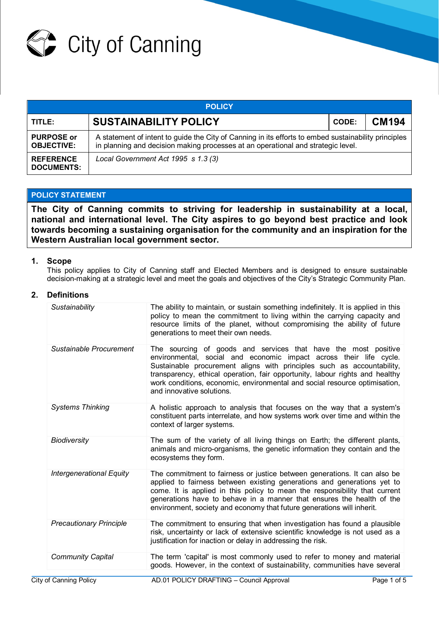

| <b>POLICY</b>                          |                                                                                                                                                                                          |              |              |  |  |  |
|----------------------------------------|------------------------------------------------------------------------------------------------------------------------------------------------------------------------------------------|--------------|--------------|--|--|--|
| TITLE:                                 | <b>SUSTAINABILITY POLICY</b>                                                                                                                                                             | <b>CODE:</b> | <b>CM194</b> |  |  |  |
| <b>PURPOSE or</b><br><b>OBJECTIVE:</b> | A statement of intent to guide the City of Canning in its efforts to embed sustainability principles<br>in planning and decision making processes at an operational and strategic level. |              |              |  |  |  |
| <b>REFERENCE</b><br><b>DOCUMENTS:</b>  | Local Government Act 1995 s 1.3 (3)                                                                                                                                                      |              |              |  |  |  |

# **POLICY STATEMENT**

**The City of Canning commits to striving for leadership in sustainability at a local, national and international level. The City aspires to go beyond best practice and look towards becoming a sustaining organisation for the community and an inspiration for the Western Australian local government sector.**

### **1. Scope**

This policy applies to City of Canning staff and Elected Members and is designed to ensure sustainable decision-making at a strategic level and meet the goals and objectives of the City's Strategic Community Plan.

## **2. Definitions**

| Sustainability                  | The ability to maintain, or sustain something indefinitely. It is applied in this<br>policy to mean the commitment to living within the carrying capacity and<br>resource limits of the planet, without compromising the ability of future<br>generations to meet their own needs.                                                                                                                        |
|---------------------------------|-----------------------------------------------------------------------------------------------------------------------------------------------------------------------------------------------------------------------------------------------------------------------------------------------------------------------------------------------------------------------------------------------------------|
| Sustainable Procurement         | The sourcing of goods and services that have the most positive<br>environmental, social and economic impact across their life cycle.<br>Sustainable procurement aligns with principles such as accountability,<br>transparency, ethical operation, fair opportunity, labour rights and healthy<br>work conditions, economic, environmental and social resource optimisation,<br>and innovative solutions. |
| <b>Systems Thinking</b>         | A holistic approach to analysis that focuses on the way that a system's<br>constituent parts interrelate, and how systems work over time and within the<br>context of larger systems.                                                                                                                                                                                                                     |
| <b>Biodiversity</b>             | The sum of the variety of all living things on Earth; the different plants,<br>animals and micro-organisms, the genetic information they contain and the<br>ecosystems they form.                                                                                                                                                                                                                         |
| <b>Intergenerational Equity</b> | The commitment to fairness or justice between generations. It can also be<br>applied to fairness between existing generations and generations yet to<br>come. It is applied in this policy to mean the responsibility that current<br>generations have to behave in a manner that ensures the health of the<br>environment, society and economy that future generations will inherit.                     |
| <b>Precautionary Principle</b>  | The commitment to ensuring that when investigation has found a plausible<br>risk, uncertainty or lack of extensive scientific knowledge is not used as a<br>justification for inaction or delay in addressing the risk.                                                                                                                                                                                   |
| <b>Community Capital</b>        | The term 'capital' is most commonly used to refer to money and material<br>goods. However, in the context of sustainability, communities have several                                                                                                                                                                                                                                                     |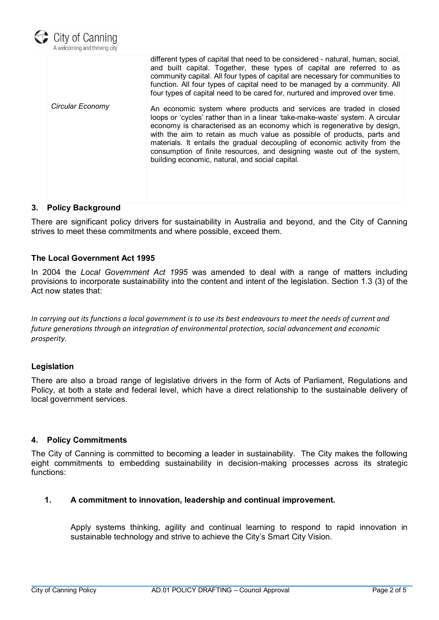

|                  | different types of capital that need to be considered - natural, human, social,<br>and built capital. Together, these types of capital are referred to as<br>community capital. All four types of capital are necessary for communities to<br>function. All four types of capital need to be managed by a community. All<br>four types of capital need to be cared for, nurtured and improved over time.                                                                                                                |
|------------------|-------------------------------------------------------------------------------------------------------------------------------------------------------------------------------------------------------------------------------------------------------------------------------------------------------------------------------------------------------------------------------------------------------------------------------------------------------------------------------------------------------------------------|
| Circular Economy | An economic system where products and services are traded in closed<br>loops or 'cycles' rather than in a linear 'take-make-waste' system. A circular<br>economy is characterised as an economy which is regenerative by design,<br>with the aim to retain as much value as possible of products, parts and<br>materials. It entails the gradual decoupling of economic activity from the<br>consumption of finite resources, and designing waste out of the system,<br>building economic, natural, and social capital. |

## **3. Policy Background**

There are significant policy drivers for sustainability in Australia and beyond, and the City of Canning strives to meet these commitments and where possible, exceed them.

### **The Local Government Act 1995**

In 2004 the *Local Government Act 1995* was amended to deal with a range of matters including provisions to incorporate sustainability into the content and intent of the legislation. Section 1.3 (3) of the Act now states that:

*In carrying out its functions a local government is to use its best endeavours to meet the needs of current and future generations through an integration of environmental protection, social advancement and economic prosperity.*

### **Legislation**

There are also a broad range of legislative drivers in the form of Acts of Parliament, Regulations and Policy, at both a state and federal level, which have a direct relationship to the sustainable delivery of local government services.

### **4. Policy Commitments**

The City of Canning is committed to becoming a leader in sustainability. The City makes the following eight commitments to embedding sustainability in decision-making processes across its strategic functions:

# **1. A commitment to innovation, leadership and continual improvement.**

Apply systems thinking, agility and continual learning to respond to rapid innovation in sustainable technology and strive to achieve the City's Smart City Vision.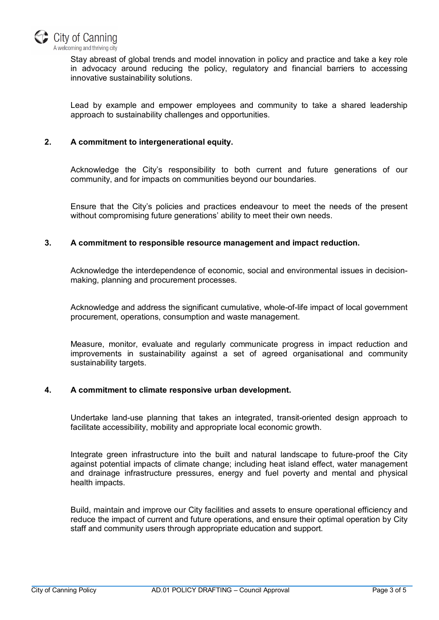

Stay abreast of global trends and model innovation in policy and practice and take a key role in advocacy around reducing the policy, regulatory and financial barriers to accessing innovative sustainability solutions.

Lead by example and empower employees and community to take a shared leadership approach to sustainability challenges and opportunities.

# **2. A commitment to intergenerational equity.**

Acknowledge the City's responsibility to both current and future generations of our community, and for impacts on communities beyond our boundaries.

Ensure that the City's policies and practices endeavour to meet the needs of the present without compromising future generations' ability to meet their own needs.

### **3. A commitment to responsible resource management and impact reduction.**

Acknowledge the interdependence of economic, social and environmental issues in decisionmaking, planning and procurement processes.

Acknowledge and address the significant cumulative, whole-of-life impact of local government procurement, operations, consumption and waste management.

Measure, monitor, evaluate and regularly communicate progress in impact reduction and improvements in sustainability against a set of agreed organisational and community sustainability targets.

### **4. A commitment to climate responsive urban development.**

Undertake land-use planning that takes an integrated, transit-oriented design approach to facilitate accessibility, mobility and appropriate local economic growth.

Integrate green infrastructure into the built and natural landscape to future-proof the City against potential impacts of climate change; including heat island effect, water management and drainage infrastructure pressures, energy and fuel poverty and mental and physical health impacts.

Build, maintain and improve our City facilities and assets to ensure operational efficiency and reduce the impact of current and future operations, and ensure their optimal operation by City staff and community users through appropriate education and support.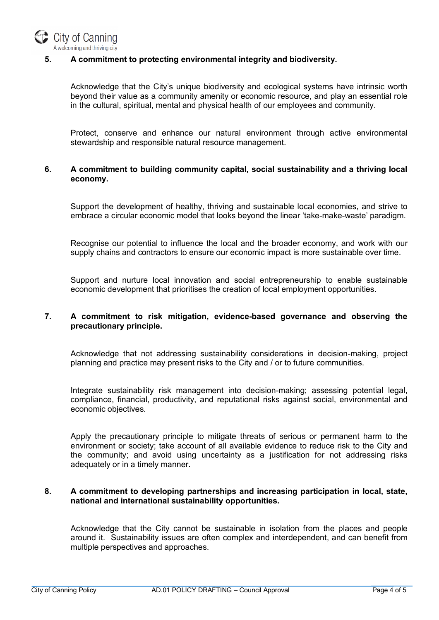

# **5. A commitment to protecting environmental integrity and biodiversity.**

Acknowledge that the City's unique biodiversity and ecological systems have intrinsic worth beyond their value as a community amenity or economic resource, and play an essential role in the cultural, spiritual, mental and physical health of our employees and community.

Protect, conserve and enhance our natural environment through active environmental stewardship and responsible natural resource management.

## **6. A commitment to building community capital, social sustainability and a thriving local economy.**

Support the development of healthy, thriving and sustainable local economies, and strive to embrace a circular economic model that looks beyond the linear 'take-make-waste' paradigm.

Recognise our potential to influence the local and the broader economy, and work with our supply chains and contractors to ensure our economic impact is more sustainable over time.

Support and nurture local innovation and social entrepreneurship to enable sustainable economic development that prioritises the creation of local employment opportunities.

# **7. A commitment to risk mitigation, evidence-based governance and observing the precautionary principle.**

Acknowledge that not addressing sustainability considerations in decision-making, project planning and practice may present risks to the City and / or to future communities.

Integrate sustainability risk management into decision-making; assessing potential legal, compliance, financial, productivity, and reputational risks against social, environmental and economic objectives.

Apply the precautionary principle to mitigate threats of serious or permanent harm to the environment or society; take account of all available evidence to reduce risk to the City and the community; and avoid using uncertainty as a justification for not addressing risks adequately or in a timely manner.

### **8. A commitment to developing partnerships and increasing participation in local, state, national and international sustainability opportunities.**

Acknowledge that the City cannot be sustainable in isolation from the places and people around it. Sustainability issues are often complex and interdependent, and can benefit from multiple perspectives and approaches.